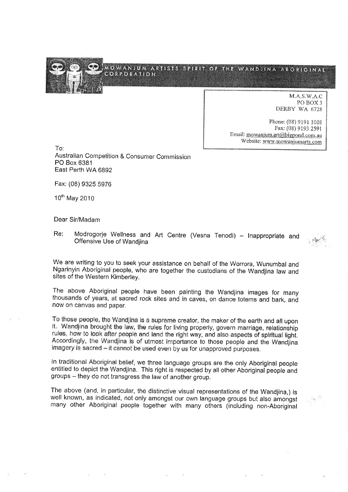

N{.A.S.V/.A.C PO BOX3 DERBY WA 6728

Phone: (09) 9191 100\$ Fax: (08) 9t93 2S9I Email: mowanjum.art@bigpond.com.au Website: www.mowanjumarts.com

To: Australian Competition & Consumer Commission PO Box 6381 East Perth WA 6892

Fax: (08) 9325 5976

1Oth May 2010

Dear Sir/Madam

Re: Modrogorje Wellness and Art Centre (Vesna Tenodi) - Inappropriate and Offensive Use of Wandjina

We are writing to you to seek your assistance on behalf of the Worrora, Wunumbal and Ngarinyin Aboriginal people, who are together the custodíans of the Wandjina law and sítes of the Western Kimberley.

The above Aboriginal people have been painting the Wandjina images for many thousands of years, at sacred rock sites and in caves, on dance totems ãnd bark, and now on canvas and paper.

To those people, the Wandjina is a supreme creator, the maker of the earth and all upon it. Wandjina brought the law, the rules for living properly, govern marriage, relationship rules, how to look after people and land the right way, and also aspects of spiritual light. Accordingly, the Wandjina is of utmost importance to those people and the Wandjina imagery is sacred - it cannot be used even by us for unapproved purposes.

In traditional Aboriginal belief, we three language groups are the only Aboriginal people entitled to depict the Wandjina. This right is respected by all other Aboriginal people and groups - they do not transgress the law of another group.

The above (and, in particular, the distinctive visual representations of the Wandjina,) is well known, as indicated, not only amongst our own language groups but also amongst many other Aboriginal people together with many others (including non-Aboriginal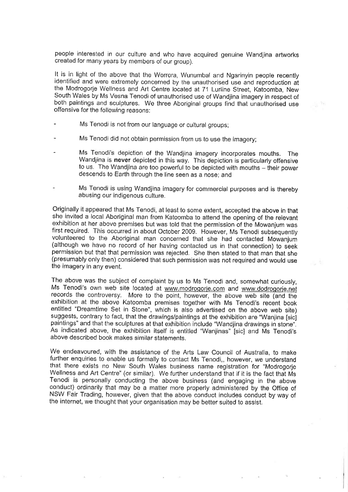people interested in our culture and who have acquired genuine Wandjina aftworks created for many years by members of our group).

It is in light of the above that the Worrora, Wunumbal and Ngarinyin people recently identified and were extremely concerned by the unauthorised use and reproduction at the Modrogorje Wellness and Art Centre located at 71 Lurline Street, Katoomba, New South Wales by Ms Vesna Tenodi of unauthorised use of Wandjina imagery in respect of both paintings and sculptures. We three Aborigínal groups find that unauthorised use offensive for the following reasons:

- Ms Tenodi is not from our language or cultural groups;
- Ms Tenodi did not obtain permission from us to use the imagery;
- Ms Tenodi's depiction of the Wandjina imagery incorporates mouths. The Wandjina is never depicted in this way. This depiction is particularly offensive to us. The Wandjina are too powerful to be depicted with mouths - their power descends to Earth through the line seen as a nose; and
- Ms Tenodi is using Wandjina imagery for commercial purposes and is thereby abusing our indigenous culture.

Originally it appeared that Ms Tenodi, at least to some extent, accepted the above in that she invited a local Aboriginal man from Katoomba to attend the opening of the relevant exhibition at her above premises but was told that the permission of the Mowanjum was first required. This occurred in about October 2009. However, Ms Tenodi subsequenfly volunteered to the Aboriginal man concerned that she had contacted Mowanjum (although we have no record of her havìng contacted us in that connection) to seek permission but that that permission was rejected. She then stated to that man that she (presumably only then) considered that such permission was not required and would use the imagery in any event.

The above was the subject of complaint by us to Ms Tenodi and, somewhat curiously, Ms Tenodi's own web site located at www.modrogorje.com and www.dodrogorje.net records the controversy. More to the point, however, the above web site (and the exhibition at the above Katoomba premises together with Ms Tenodi's recent book entitled "Dreamtime Set in Stone", which is also advertised on the above web site) suggests, contrary to fact, that the drawings/paintings at the exhibition are "Wanjina [sic] paintings" and that the sculptures at that exhibition include "Wandjina drawings in stone". As indicated above, the exhibition itself is entitled "Wanjinas" [sic] and Ms Tenodi's above described book makes similar statements.

We endeavoured, with the assistance of the Arts Law Council of Austrafia, to make further enquiries to enable us formally to contact Ms Tenodi,, however, we understand that there exists no New South Wales business name registration for "Modrogorje Wellness and Art Centre" (or similar). We further understand that if it is the fact that Ms Tenodi is personally conducting the above business (and engaging in the above conduct) ordinarily that may be a matter more properly administered by the Office of NSW Fair Trading, however, given that the above conduct íncludes conduct by way of the internet, we thought that your organisation may be better suited to assist.